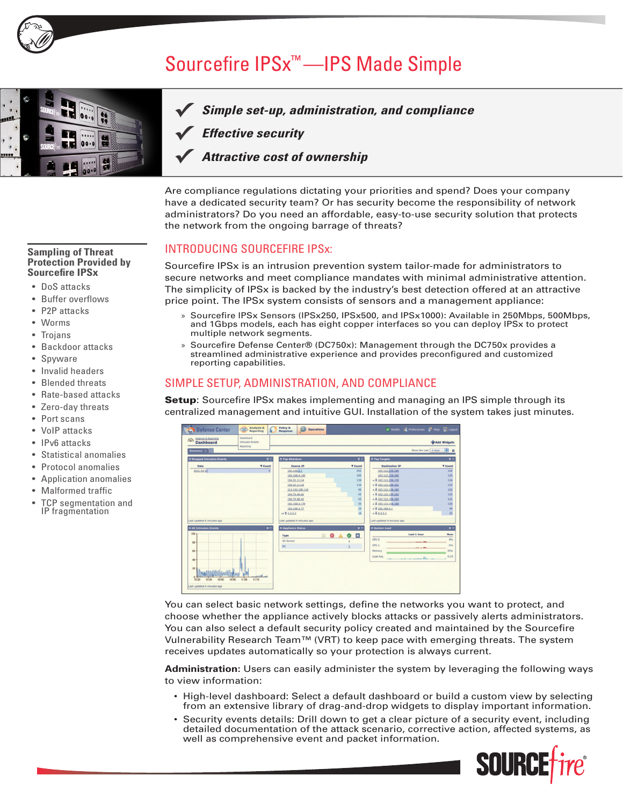

# Sourcefire IPSx™ —IPS Made Simple



#### *Simple set-up, administration, and compliance* **✓**

*Effective security* **✓**

#### *Attractive cost of ownership*  **✓**

Are compliance regulations dictating your priorities and spend? Does your company have a dedicated security team? Or has security become the responsibility of network administrators? Do you need an affordable, easy-to-use security solution that protects the network from the ongoing barrage of threats?

#### INTRODUCING SOURCEFIRE IPSx:

Sourcefire IPSx is an intrusion prevention system tailor-made for administrators to secure networks and meet compliance mandates with minimal administrative attention. The simplicity of IPSx is backed by the industry's best detection offered at an attractive price point. The IPSx system consists of sensors and a management appliance:

- » Sourcefire IPSx Sensors (IPSx250, IPSx500, and IPSx1000): Available in 250Mbps, 500Mbps, and 1Gbps models, each has eight copper interfaces so you can deploy IPSx to protect multiple network segments.
- » Sourcefire Defense Center® (DC750x): Management through the DC750x provides a streamlined administrative experience and provides preconfigured and customized reporting capabilities.

### SIMPLE SETUP, ADMINISTRATION, AND COMPLIANCE

**Setup:** Sourcefire IPSx makes implementing and managing an IPS simple through its centralized management and intuitive GUI. Installation of the system takes just minutes.

| ക<br><b>Dashboard</b><br>Intrusion Events<br>Reporting |                | <b>Add Widgets</b>         |                                |                            |                            |  |
|--------------------------------------------------------|----------------|----------------------------|--------------------------------|----------------------------|----------------------------|--|
| Summary <b>B</b> 0                                     |                |                            |                                |                            | 田田<br>Show the Last 1 hour |  |
| <b>Q Dropped Intrusion Events</b>                      | 00             | <b>Q Top Attackers</b>     | 88                             | <b>O</b> Top Targets       |                            |  |
| Date                                                   | <b>V</b> Count | <b>Source IP</b>           | <b>V</b> Count                 | <b>Destination IP</b>      | <b>V</b> Count             |  |
| 2011-04-07                                             |                | 192.168.0.1                | 292                            | 193.122.158.166            |                            |  |
|                                                        |                | 192.168.4.149              | 165                            | 193.122.158.165            |                            |  |
|                                                        |                | 154.32.3.114               | 129                            | $-1$ & 193.122.158.170     |                            |  |
|                                                        |                | 154.32.3.118               | 116                            | $-14.193.122.158.161$      |                            |  |
|                                                        |                | 213.192.190.118            | 95                             | $-14$ 193.122.158.160      |                            |  |
|                                                        |                | 194,70,98.66               | 65                             | $-1$ & 193.122.158.162     |                            |  |
|                                                        |                | 194.70.98.42               | 43                             | $-14.193.122.158.164$      |                            |  |
|                                                        |                | 192.168.4.178              | 35                             | $-1$ & 193.122.158.168     |                            |  |
|                                                        |                | 192.168.3.77               | 19                             | $-1$ & 192, 168, 0, 1      |                            |  |
|                                                        |                | $+124.2.2.2$               | 14                             | $-14.2.2.2$                |                            |  |
| Last updated 4 minutes ago                             |                | Last updated 4 minutes ago |                                | Last updated 4 minutes ago |                            |  |
| <b>C All Intrusion Events</b>                          | 00             | <b>Q</b> Appliance Status  | 00                             | <b>Q</b> System Load       |                            |  |
| $100 -$                                                |                | Type                       | $\mathbb{Z}$ 0 $\Delta$ 0<br>× |                            | <b>Last 1 hour</b>         |  |
| 80                                                     |                | <b>3D Sensor</b>           |                                | CPU O                      |                            |  |
|                                                        |                | <b>DC</b>                  |                                | CFU <sub>1</sub>           |                            |  |
| 60                                                     |                |                            |                                | Memory                     |                            |  |
|                                                        |                |                            |                                | Load Avg                   |                            |  |
| 40                                                     |                |                            |                                |                            | $-\rightarrow$             |  |
|                                                        |                |                            |                                |                            |                            |  |
| 20 <sub>1</sub>                                        |                |                            |                                |                            |                            |  |
| السلأ الاللاتاليات                                     |                |                            |                                |                            |                            |  |

You can select basic network settings, define the networks you want to protect, and choose whether the appliance actively blocks attacks or passively alerts administrators. You can also select a default security policy created and maintained by the Sourcefire Vulnerability Research Team™ (VRT) to keep pace with emerging threats. The system receives updates automatically so your protection is always current.

**Administration:** Users can easily administer the system by leveraging the following ways to view information:

- High-level dashboard: Select a default dashboard or build a custom view by selecting from an extensive library of drag-and-drop widgets to display important information.
- Security events details: Drill down to get a clear picture of a security event, including detailed documentation of the attack scenario, corrective action, affected systems, as well as comprehensive event and packet information.



#### **Sampling of Threat Protection Provided by Sourcefire IPSx**

- DoS attacks
- **Buffer overflows**
- P<sub>2</sub>P attacks
- **Worms**
- **Trojans**
- Backdoor attacks
- **Spyware**
- Invalid headers
- **Blended threats**
- Rate-based attacks
- Zero-day threats
- Port scans
- VoIP attacks
- IPv6 attacks
- Statistical anomalies
- Protocol anomalies
- Application anomalies
- **Malformed traffic**
- TCP segmentation and IP fragmentation